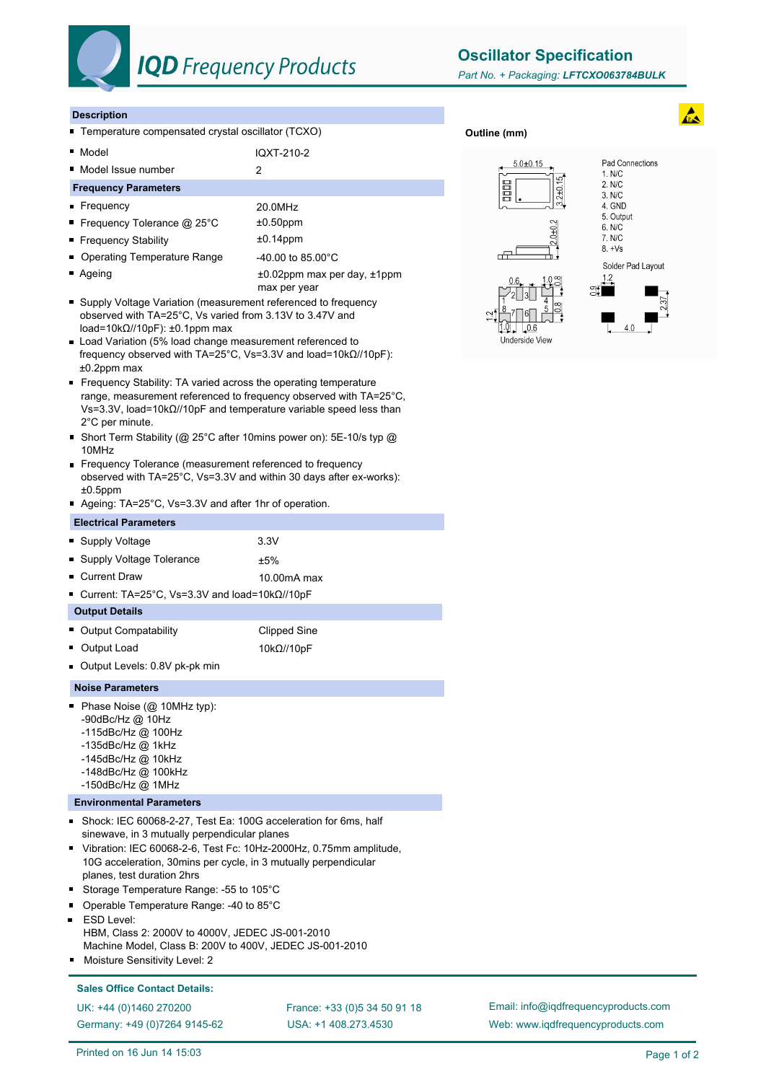

## **IQD** Frequency Products

**Oscillator Specification**

**Outline (mm)**

#### **Description**

- Temperature compensated crystal oscillator (TCXO)
- Model IQXT-210-2
- Model Issue number 2

#### **Frequency Parameters**

- Frequency 20.0MHz
- Frequency Tolerance @ 25°C  $\pm 0.50$ ppm
- Frequency Stability **to the state of the state of the state of the state of the state of the state of the state of the state of the state of the state of the state of the state of the state of the state of the state of**
- Operating Temperature Range 40.00 to 85.00°C
- Ageing the according to the top of the 40.02ppm max per day, ±1ppm max per year
- Supply Voltage Variation (measurement referenced to frequency observed with TA=25°C, Vs varied from 3.13V to 3.47V and load=10kΩ//10pF): ±0.1ppm max
- Load Variation (5% load change measurement referenced to frequency observed with TA=25°C, Vs=3.3V and load=10kΩ//10pF): ±0.2ppm max
- Frequency Stability: TA varied across the operating temperature range, measurement referenced to frequency observed with TA=25°C, Vs=3.3V, load=10kΩ//10pF and temperature variable speed less than 2°C per minute.
- Short Term Stability (@ 25°C after 10mins power on): 5E-10/s typ @ 10MHz
- **Frequency Tolerance (measurement referenced to frequency** observed with TA=25°C, Vs=3.3V and within 30 days after ex-works):  $±0.5$ ppm
- Ageing: TA=25°C, Vs=3.3V and after 1hr of operation.

#### **Electrical Parameters**

| ■ Supply Voltage           | 3.3V        |
|----------------------------|-------------|
| • Supply Voltage Tolerance | ±5%         |
| • Current Draw             | 10.00mA max |

- Current: TA=25°C, Vs=3.3V and load=10kΩ//10pF
- **Output Details** ■ Output Compatability Clipped Sine
- Output Load 10kΩ//10pF
- Output Levels: 0.8V pk-pk min

#### **Noise Parameters**

- Phase Noise (@ 10MHz typ):
	- -90dBc/Hz @ 10Hz
	- -115dBc/Hz @ 100Hz
	- -135dBc/Hz @ 1kHz
	- -145dBc/Hz @ 10kHz
	- -148dBc/Hz @ 100kHz -150dBc/Hz @ 1MHz
- **Environmental Parameters**
- Shock: IEC 60068-2-27, Test Ea: 100G acceleration for 6ms, half sinewave, in 3 mutually perpendicular planes
- Vibration: IEC 60068-2-6, Test Fc: 10Hz-2000Hz, 0.75mm amplitude, 10G acceleration, 30mins per cycle, in 3 mutually perpendicular planes, test duration 2hrs
- Storage Temperature Range: -55 to 105°C
- Operable Temperature Range: -40 to 85°C
- ESD Level: HBM, Class 2: 2000V to 4000V, JEDEC JS-001-2010 Machine Model, Class B: 200V to 400V, JEDEC JS-001-2010
- Moisture Sensitivity Level: 2

### **Sales Office Contact Details:**

UK: +44 (0)1460 270200 France: +33 (0)5 34 50 91 18 Germany: +49 (0)7264 9145-62

USA: +1 408.273.4530

Email: info@iqdfrequencyproducts.com Web: www.iqdfrequencyproducts.com